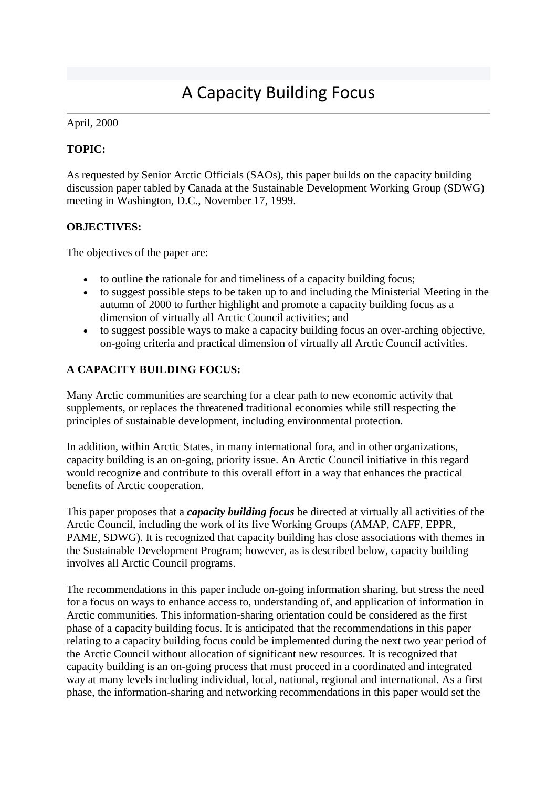# A Capacity Building Focus

### April, 2000

# **TOPIC:**

As requested by Senior Arctic Officials (SAOs), this paper builds on the capacity building discussion paper tabled by Canada at the Sustainable Development Working Group (SDWG) meeting in Washington, D.C., November 17, 1999.

# **OBJECTIVES:**

The objectives of the paper are:

- to outline the rationale for and timeliness of a capacity building focus;
- to suggest possible steps to be taken up to and including the Ministerial Meeting in the autumn of 2000 to further highlight and promote a capacity building focus as a dimension of virtually all Arctic Council activities; and
- to suggest possible ways to make a capacity building focus an over-arching objective, on-going criteria and practical dimension of virtually all Arctic Council activities.

# **A CAPACITY BUILDING FOCUS:**

Many Arctic communities are searching for a clear path to new economic activity that supplements, or replaces the threatened traditional economies while still respecting the principles of sustainable development, including environmental protection.

In addition, within Arctic States, in many international fora, and in other organizations, capacity building is an on-going, priority issue. An Arctic Council initiative in this regard would recognize and contribute to this overall effort in a way that enhances the practical benefits of Arctic cooperation.

This paper proposes that a *capacity building focus* be directed at virtually all activities of the Arctic Council, including the work of its five Working Groups (AMAP, CAFF, EPPR, PAME, SDWG). It is recognized that capacity building has close associations with themes in the Sustainable Development Program; however, as is described below, capacity building involves all Arctic Council programs.

The recommendations in this paper include on-going information sharing, but stress the need for a focus on ways to enhance access to, understanding of, and application of information in Arctic communities. This information-sharing orientation could be considered as the first phase of a capacity building focus. It is anticipated that the recommendations in this paper relating to a capacity building focus could be implemented during the next two year period of the Arctic Council without allocation of significant new resources. It is recognized that capacity building is an on-going process that must proceed in a coordinated and integrated way at many levels including individual, local, national, regional and international. As a first phase, the information-sharing and networking recommendations in this paper would set the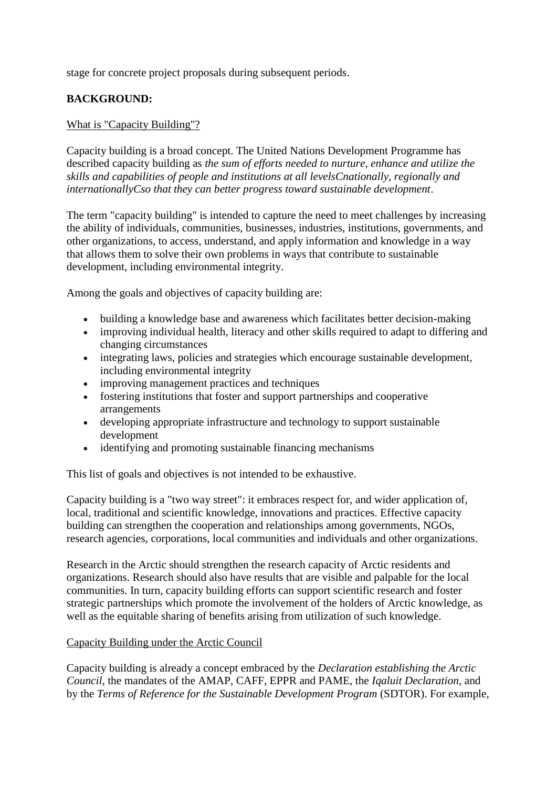stage for concrete project proposals during subsequent periods.

# **BACKGROUND:**

#### What is "Capacity Building"?

Capacity building is a broad concept. The United Nations Development Programme has described capacity building as *the sum of efforts needed to nurture, enhance and utilize the skills and capabilities of people and institutions at all levelsCnationally, regionally and internationallyCso that they can better progress toward sustainable development*.

The term "capacity building" is intended to capture the need to meet challenges by increasing the ability of individuals, communities, businesses, industries, institutions, governments, and other organizations, to access, understand, and apply information and knowledge in a way that allows them to solve their own problems in ways that contribute to sustainable development, including environmental integrity.

Among the goals and objectives of capacity building are:

- building a knowledge base and awareness which facilitates better decision-making
- improving individual health, literacy and other skills required to adapt to differing and changing circumstances
- integrating laws, policies and strategies which encourage sustainable development, including environmental integrity
- improving management practices and techniques
- fostering institutions that foster and support partnerships and cooperative arrangements
- developing appropriate infrastructure and technology to support sustainable development
- identifying and promoting sustainable financing mechanisms

This list of goals and objectives is not intended to be exhaustive.

Capacity building is a "two way street": it embraces respect for, and wider application of, local, traditional and scientific knowledge, innovations and practices. Effective capacity building can strengthen the cooperation and relationships among governments, NGOs, research agencies, corporations, local communities and individuals and other organizations.

Research in the Arctic should strengthen the research capacity of Arctic residents and organizations. Research should also have results that are visible and palpable for the local communities. In turn, capacity building efforts can support scientific research and foster strategic partnerships which promote the involvement of the holders of Arctic knowledge, as well as the equitable sharing of benefits arising from utilization of such knowledge.

#### Capacity Building under the Arctic Council

Capacity building is already a concept embraced by the *Declaration establishing the Arctic Council*, the mandates of the AMAP, CAFF, EPPR and PAME, the *Iqaluit Declaration*, and by the *Terms of Reference for the Sustainable Development Program* (SDTOR). For example,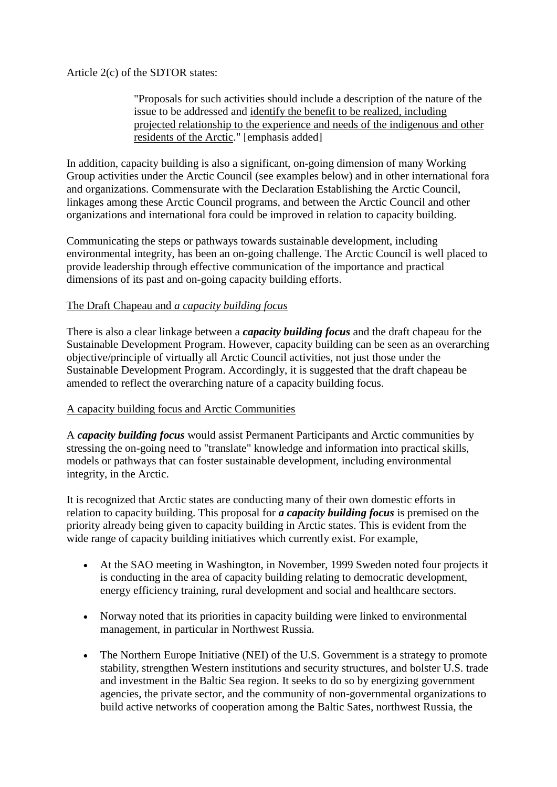Article 2(c) of the SDTOR states:

"Proposals for such activities should include a description of the nature of the issue to be addressed and identify the benefit to be realized, including projected relationship to the experience and needs of the indigenous and other residents of the Arctic." [emphasis added]

In addition, capacity building is also a significant, on-going dimension of many Working Group activities under the Arctic Council (see examples below) and in other international fora and organizations. Commensurate with the Declaration Establishing the Arctic Council, linkages among these Arctic Council programs, and between the Arctic Council and other organizations and international fora could be improved in relation to capacity building.

Communicating the steps or pathways towards sustainable development, including environmental integrity, has been an on-going challenge. The Arctic Council is well placed to provide leadership through effective communication of the importance and practical dimensions of its past and on-going capacity building efforts.

# The Draft Chapeau and *a capacity building focus*

There is also a clear linkage between a *capacity building focus* and the draft chapeau for the Sustainable Development Program. However, capacity building can be seen as an overarching objective/principle of virtually all Arctic Council activities, not just those under the Sustainable Development Program. Accordingly, it is suggested that the draft chapeau be amended to reflect the overarching nature of a capacity building focus.

# A capacity building focus and Arctic Communities

A *capacity building focus* would assist Permanent Participants and Arctic communities by stressing the on-going need to "translate" knowledge and information into practical skills, models or pathways that can foster sustainable development, including environmental integrity, in the Arctic.

It is recognized that Arctic states are conducting many of their own domestic efforts in relation to capacity building. This proposal for *a capacity building focus* is premised on the priority already being given to capacity building in Arctic states. This is evident from the wide range of capacity building initiatives which currently exist. For example,

- At the SAO meeting in Washington, in November, 1999 Sweden noted four projects it is conducting in the area of capacity building relating to democratic development, energy efficiency training, rural development and social and healthcare sectors.
- Norway noted that its priorities in capacity building were linked to environmental management, in particular in Northwest Russia.
- The Northern Europe Initiative (NEI) of the U.S. Government is a strategy to promote stability, strengthen Western institutions and security structures, and bolster U.S. trade and investment in the Baltic Sea region. It seeks to do so by energizing government agencies, the private sector, and the community of non-governmental organizations to build active networks of cooperation among the Baltic Sates, northwest Russia, the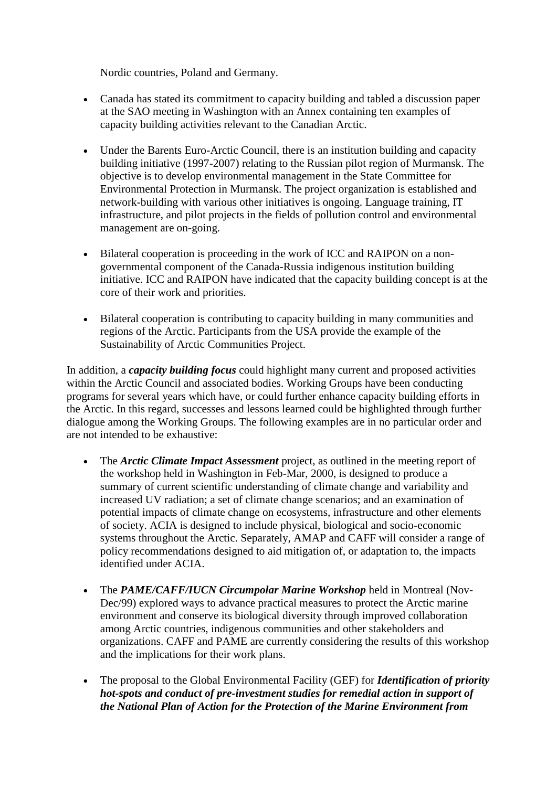Nordic countries, Poland and Germany.

- Canada has stated its commitment to capacity building and tabled a discussion paper at the SAO meeting in Washington with an Annex containing ten examples of capacity building activities relevant to the Canadian Arctic.
- Under the Barents Euro-Arctic Council, there is an institution building and capacity building initiative (1997-2007) relating to the Russian pilot region of Murmansk. The objective is to develop environmental management in the State Committee for Environmental Protection in Murmansk. The project organization is established and network-building with various other initiatives is ongoing. Language training, IT infrastructure, and pilot projects in the fields of pollution control and environmental management are on-going.
- Bilateral cooperation is proceeding in the work of ICC and RAIPON on a nongovernmental component of the Canada-Russia indigenous institution building initiative. ICC and RAIPON have indicated that the capacity building concept is at the core of their work and priorities.
- Bilateral cooperation is contributing to capacity building in many communities and regions of the Arctic. Participants from the USA provide the example of the Sustainability of Arctic Communities Project.

In addition, a *capacity building focus* could highlight many current and proposed activities within the Arctic Council and associated bodies. Working Groups have been conducting programs for several years which have, or could further enhance capacity building efforts in the Arctic. In this regard, successes and lessons learned could be highlighted through further dialogue among the Working Groups. The following examples are in no particular order and are not intended to be exhaustive:

- The *Arctic Climate Impact Assessment* project, as outlined in the meeting report of the workshop held in Washington in Feb-Mar, 2000, is designed to produce a summary of current scientific understanding of climate change and variability and increased UV radiation; a set of climate change scenarios; and an examination of potential impacts of climate change on ecosystems, infrastructure and other elements of society. ACIA is designed to include physical, biological and socio-economic systems throughout the Arctic. Separately, AMAP and CAFF will consider a range of policy recommendations designed to aid mitigation of, or adaptation to, the impacts identified under ACIA.
- The *PAME/CAFF/IUCN Circumpolar Marine Workshop* held in Montreal (Nov-Dec/99) explored ways to advance practical measures to protect the Arctic marine environment and conserve its biological diversity through improved collaboration among Arctic countries, indigenous communities and other stakeholders and organizations. CAFF and PAME are currently considering the results of this workshop and the implications for their work plans.
- The proposal to the Global Environmental Facility (GEF) for *Identification of priority hot-spots and conduct of pre-investment studies for remedial action in support of the National Plan of Action for the Protection of the Marine Environment from*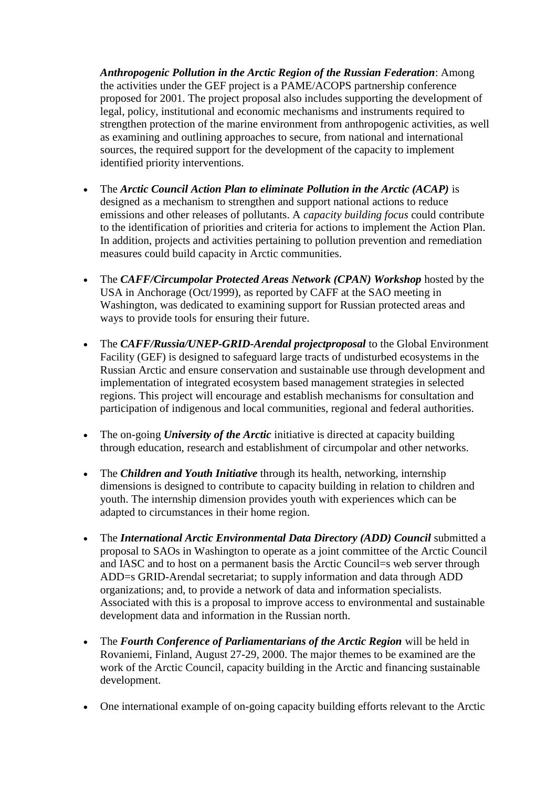*Anthropogenic Pollution in the Arctic Region of the Russian Federation*: Among the activities under the GEF project is a PAME/ACOPS partnership conference proposed for 2001. The project proposal also includes supporting the development of legal, policy, institutional and economic mechanisms and instruments required to strengthen protection of the marine environment from anthropogenic activities, as well as examining and outlining approaches to secure, from national and international sources, the required support for the development of the capacity to implement identified priority interventions.

- The *Arctic Council Action Plan to eliminate Pollution in the Arctic (ACAP)* is designed as a mechanism to strengthen and support national actions to reduce emissions and other releases of pollutants. A *capacity building focus* could contribute to the identification of priorities and criteria for actions to implement the Action Plan. In addition, projects and activities pertaining to pollution prevention and remediation measures could build capacity in Arctic communities.
- The *CAFF/Circumpolar Protected Areas Network (CPAN) Workshop* hosted by the USA in Anchorage (Oct/1999), as reported by CAFF at the SAO meeting in Washington, was dedicated to examining support for Russian protected areas and ways to provide tools for ensuring their future.
- The *CAFF/Russia/UNEP-GRID-Arendal projectproposal* to the Global Environment Facility (GEF) is designed to safeguard large tracts of undisturbed ecosystems in the Russian Arctic and ensure conservation and sustainable use through development and implementation of integrated ecosystem based management strategies in selected regions. This project will encourage and establish mechanisms for consultation and participation of indigenous and local communities, regional and federal authorities.
- The on-going *University of the Arctic* initiative is directed at capacity building through education, research and establishment of circumpolar and other networks.
- The *Children and Youth Initiative* through its health, networking, internship dimensions is designed to contribute to capacity building in relation to children and youth. The internship dimension provides youth with experiences which can be adapted to circumstances in their home region.
- The *International Arctic Environmental Data Directory (ADD) Council* submitted a proposal to SAOs in Washington to operate as a joint committee of the Arctic Council and IASC and to host on a permanent basis the Arctic Council=s web server through ADD=s GRID-Arendal secretariat; to supply information and data through ADD organizations; and, to provide a network of data and information specialists. Associated with this is a proposal to improve access to environmental and sustainable development data and information in the Russian north.
- The *Fourth Conference of Parliamentarians of the Arctic Region* will be held in Rovaniemi, Finland, August 27-29, 2000. The major themes to be examined are the work of the Arctic Council, capacity building in the Arctic and financing sustainable development.
- One international example of on-going capacity building efforts relevant to the Arctic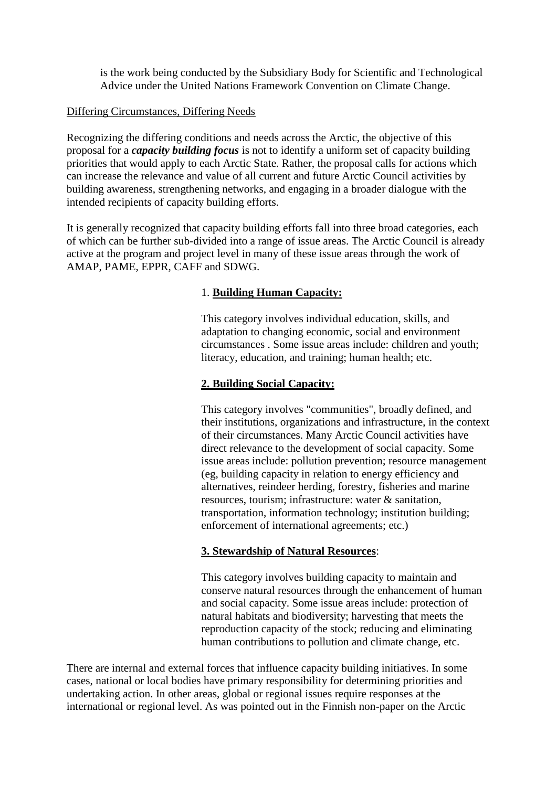is the work being conducted by the Subsidiary Body for Scientific and Technological Advice under the United Nations Framework Convention on Climate Change.

#### Differing Circumstances, Differing Needs

Recognizing the differing conditions and needs across the Arctic, the objective of this proposal for a *capacity building focus* is not to identify a uniform set of capacity building priorities that would apply to each Arctic State. Rather, the proposal calls for actions which can increase the relevance and value of all current and future Arctic Council activities by building awareness, strengthening networks, and engaging in a broader dialogue with the intended recipients of capacity building efforts.

It is generally recognized that capacity building efforts fall into three broad categories, each of which can be further sub-divided into a range of issue areas. The Arctic Council is already active at the program and project level in many of these issue areas through the work of AMAP, PAME, EPPR, CAFF and SDWG.

# 1. **Building Human Capacity:**

This category involves individual education, skills, and adaptation to changing economic, social and environment circumstances . Some issue areas include: children and youth; literacy, education, and training; human health; etc.

# **2. Building Social Capacity:**

This category involves "communities", broadly defined, and their institutions, organizations and infrastructure, in the context of their circumstances. Many Arctic Council activities have direct relevance to the development of social capacity. Some issue areas include: pollution prevention; resource management (eg, building capacity in relation to energy efficiency and alternatives, reindeer herding, forestry, fisheries and marine resources, tourism; infrastructure: water & sanitation, transportation, information technology; institution building; enforcement of international agreements; etc.)

# **3. Stewardship of Natural Resources**:

This category involves building capacity to maintain and conserve natural resources through the enhancement of human and social capacity. Some issue areas include: protection of natural habitats and biodiversity; harvesting that meets the reproduction capacity of the stock; reducing and eliminating human contributions to pollution and climate change, etc.

There are internal and external forces that influence capacity building initiatives. In some cases, national or local bodies have primary responsibility for determining priorities and undertaking action. In other areas, global or regional issues require responses at the international or regional level. As was pointed out in the Finnish non-paper on the Arctic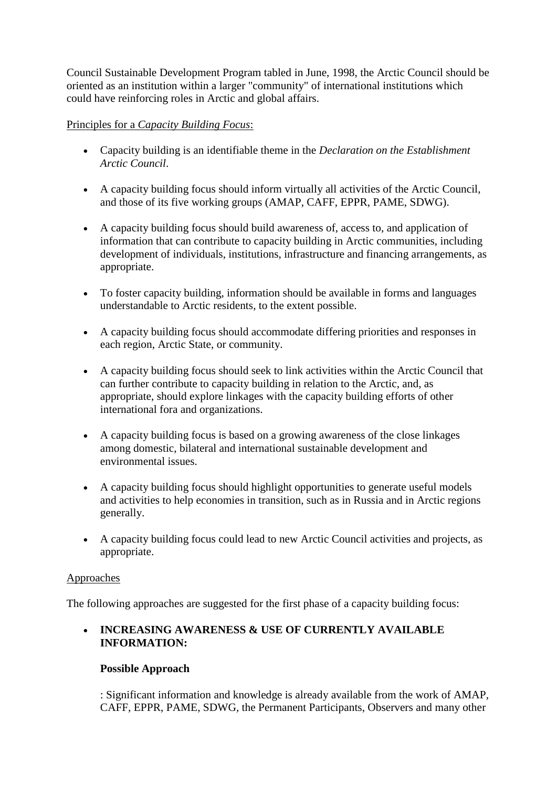Council Sustainable Development Program tabled in June, 1998, the Arctic Council should be oriented as an institution within a larger "community" of international institutions which could have reinforcing roles in Arctic and global affairs.

# Principles for a *Capacity Building Focus*:

- Capacity building is an identifiable theme in the *Declaration on the Establishment Arctic Council*.
- A capacity building focus should inform virtually all activities of the Arctic Council, and those of its five working groups (AMAP, CAFF, EPPR, PAME, SDWG).
- A capacity building focus should build awareness of, access to, and application of information that can contribute to capacity building in Arctic communities, including development of individuals, institutions, infrastructure and financing arrangements, as appropriate.
- To foster capacity building, information should be available in forms and languages understandable to Arctic residents, to the extent possible.
- A capacity building focus should accommodate differing priorities and responses in each region, Arctic State, or community.
- A capacity building focus should seek to link activities within the Arctic Council that can further contribute to capacity building in relation to the Arctic, and, as appropriate, should explore linkages with the capacity building efforts of other international fora and organizations.
- A capacity building focus is based on a growing awareness of the close linkages among domestic, bilateral and international sustainable development and environmental issues.
- A capacity building focus should highlight opportunities to generate useful models and activities to help economies in transition, such as in Russia and in Arctic regions generally.
- A capacity building focus could lead to new Arctic Council activities and projects, as appropriate.

# Approaches

The following approaches are suggested for the first phase of a capacity building focus:

# **INCREASING AWARENESS & USE OF CURRENTLY AVAILABLE INFORMATION:**

# **Possible Approach**

: Significant information and knowledge is already available from the work of AMAP, CAFF, EPPR, PAME, SDWG, the Permanent Participants, Observers and many other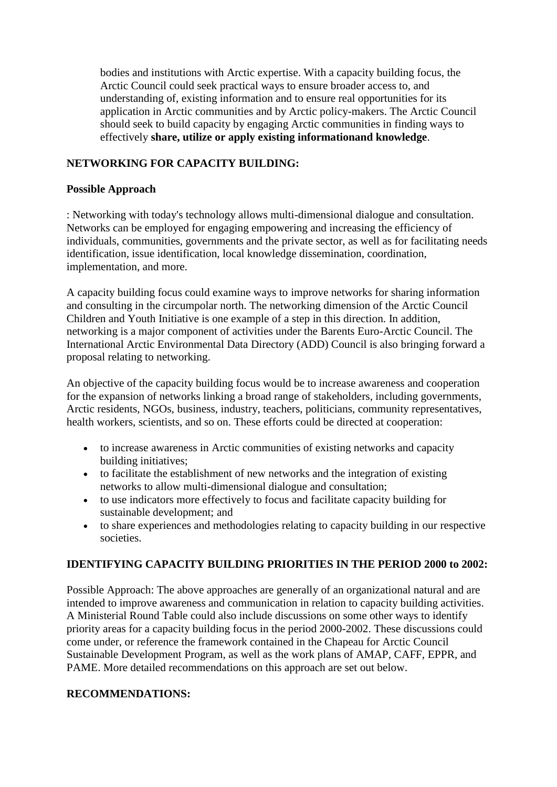bodies and institutions with Arctic expertise. With a capacity building focus, the Arctic Council could seek practical ways to ensure broader access to, and understanding of, existing information and to ensure real opportunities for its application in Arctic communities and by Arctic policy-makers. The Arctic Council should seek to build capacity by engaging Arctic communities in finding ways to effectively **share, utilize or apply existing informationand knowledge**.

# **NETWORKING FOR CAPACITY BUILDING:**

#### **Possible Approach**

: Networking with today's technology allows multi-dimensional dialogue and consultation. Networks can be employed for engaging empowering and increasing the efficiency of individuals, communities, governments and the private sector, as well as for facilitating needs identification, issue identification, local knowledge dissemination, coordination, implementation, and more.

A capacity building focus could examine ways to improve networks for sharing information and consulting in the circumpolar north. The networking dimension of the Arctic Council Children and Youth Initiative is one example of a step in this direction. In addition, networking is a major component of activities under the Barents Euro-Arctic Council. The International Arctic Environmental Data Directory (ADD) Council is also bringing forward a proposal relating to networking.

An objective of the capacity building focus would be to increase awareness and cooperation for the expansion of networks linking a broad range of stakeholders, including governments, Arctic residents, NGOs, business, industry, teachers, politicians, community representatives, health workers, scientists, and so on. These efforts could be directed at cooperation:

- to increase awareness in Arctic communities of existing networks and capacity building initiatives;
- to facilitate the establishment of new networks and the integration of existing networks to allow multi-dimensional dialogue and consultation;
- to use indicators more effectively to focus and facilitate capacity building for sustainable development; and
- to share experiences and methodologies relating to capacity building in our respective societies.

# **IDENTIFYING CAPACITY BUILDING PRIORITIES IN THE PERIOD 2000 to 2002:**

Possible Approach: The above approaches are generally of an organizational natural and are intended to improve awareness and communication in relation to capacity building activities. A Ministerial Round Table could also include discussions on some other ways to identify priority areas for a capacity building focus in the period 2000-2002. These discussions could come under, or reference the framework contained in the Chapeau for Arctic Council Sustainable Development Program, as well as the work plans of AMAP, CAFF, EPPR, and PAME. More detailed recommendations on this approach are set out below.

#### **RECOMMENDATIONS:**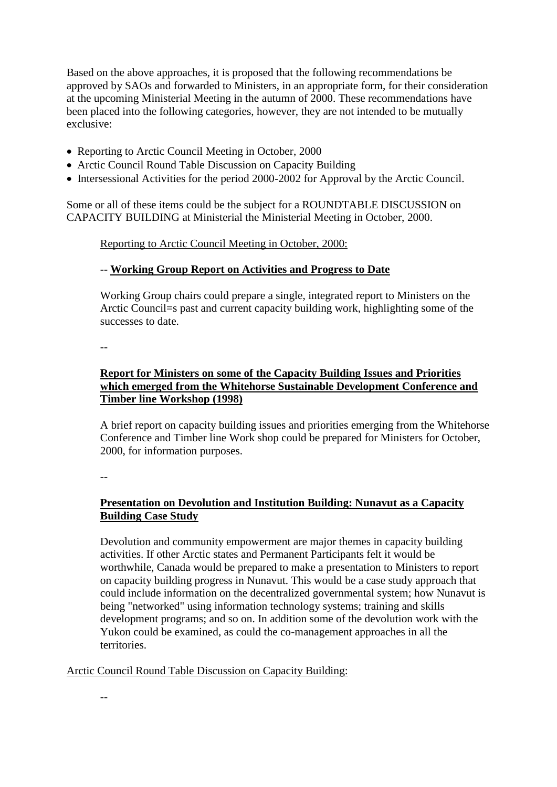Based on the above approaches, it is proposed that the following recommendations be approved by SAOs and forwarded to Ministers, in an appropriate form, for their consideration at the upcoming Ministerial Meeting in the autumn of 2000. These recommendations have been placed into the following categories, however, they are not intended to be mutually exclusive:

- Reporting to Arctic Council Meeting in October, 2000
- Arctic Council Round Table Discussion on Capacity Building
- Intersessional Activities for the period 2000-2002 for Approval by the Arctic Council.

Some or all of these items could be the subject for a ROUNDTABLE DISCUSSION on CAPACITY BUILDING at Ministerial the Ministerial Meeting in October, 2000.

Reporting to Arctic Council Meeting in October, 2000:

# -- **Working Group Report on Activities and Progress to Date**

Working Group chairs could prepare a single, integrated report to Ministers on the Arctic Council=s past and current capacity building work, highlighting some of the successes to date.

--

# **Report for Ministers on some of the Capacity Building Issues and Priorities which emerged from the Whitehorse Sustainable Development Conference and Timber line Workshop (1998)**

A brief report on capacity building issues and priorities emerging from the Whitehorse Conference and Timber line Work shop could be prepared for Ministers for October, 2000, for information purposes.

--

# **Presentation on Devolution and Institution Building: Nunavut as a Capacity Building Case Study**

Devolution and community empowerment are major themes in capacity building activities. If other Arctic states and Permanent Participants felt it would be worthwhile, Canada would be prepared to make a presentation to Ministers to report on capacity building progress in Nunavut. This would be a case study approach that could include information on the decentralized governmental system; how Nunavut is being "networked" using information technology systems; training and skills development programs; and so on. In addition some of the devolution work with the Yukon could be examined, as could the co-management approaches in all the territories.

Arctic Council Round Table Discussion on Capacity Building: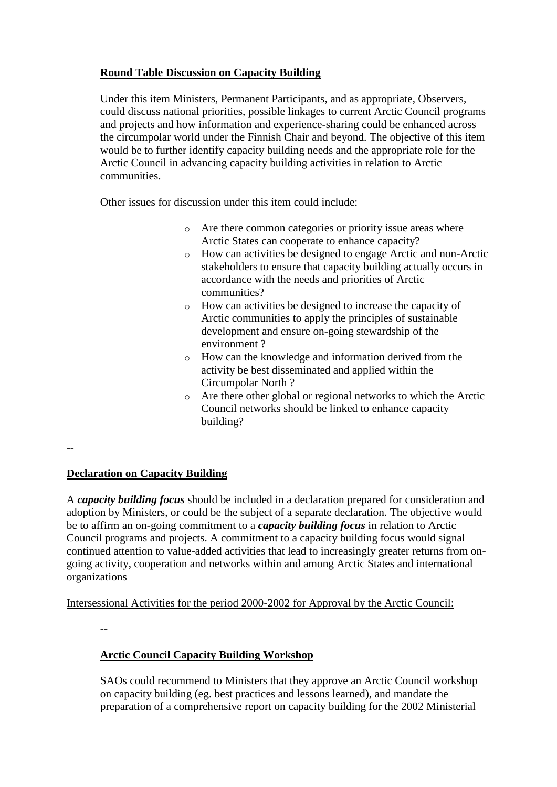# **Round Table Discussion on Capacity Building**

Under this item Ministers, Permanent Participants, and as appropriate, Observers, could discuss national priorities, possible linkages to current Arctic Council programs and projects and how information and experience-sharing could be enhanced across the circumpolar world under the Finnish Chair and beyond. The objective of this item would be to further identify capacity building needs and the appropriate role for the Arctic Council in advancing capacity building activities in relation to Arctic communities.

Other issues for discussion under this item could include:

- o Are there common categories or priority issue areas where Arctic States can cooperate to enhance capacity?
- o How can activities be designed to engage Arctic and non-Arctic stakeholders to ensure that capacity building actually occurs in accordance with the needs and priorities of Arctic communities?
- o How can activities be designed to increase the capacity of Arctic communities to apply the principles of sustainable development and ensure on-going stewardship of the environment ?
- o How can the knowledge and information derived from the activity be best disseminated and applied within the Circumpolar North ?
- o Are there other global or regional networks to which the Arctic Council networks should be linked to enhance capacity building?

 $-$ 

# **Declaration on Capacity Building**

A *capacity building focus* should be included in a declaration prepared for consideration and adoption by Ministers, or could be the subject of a separate declaration. The objective would be to affirm an on-going commitment to a *capacity building focus* in relation to Arctic Council programs and projects. A commitment to a capacity building focus would signal continued attention to value-added activities that lead to increasingly greater returns from ongoing activity, cooperation and networks within and among Arctic States and international organizations

Intersessional Activities for the period 2000-2002 for Approval by the Arctic Council:

--

# **Arctic Council Capacity Building Workshop**

SAOs could recommend to Ministers that they approve an Arctic Council workshop on capacity building (eg. best practices and lessons learned), and mandate the preparation of a comprehensive report on capacity building for the 2002 Ministerial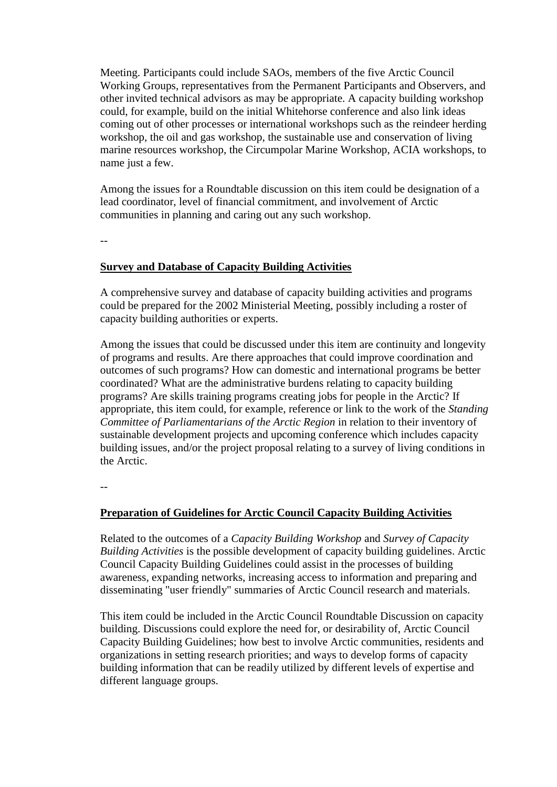Meeting. Participants could include SAOs, members of the five Arctic Council Working Groups, representatives from the Permanent Participants and Observers, and other invited technical advisors as may be appropriate. A capacity building workshop could, for example, build on the initial Whitehorse conference and also link ideas coming out of other processes or international workshops such as the reindeer herding workshop, the oil and gas workshop, the sustainable use and conservation of living marine resources workshop, the Circumpolar Marine Workshop, ACIA workshops, to name just a few.

Among the issues for a Roundtable discussion on this item could be designation of a lead coordinator, level of financial commitment, and involvement of Arctic communities in planning and caring out any such workshop.

--

#### **Survey and Database of Capacity Building Activities**

A comprehensive survey and database of capacity building activities and programs could be prepared for the 2002 Ministerial Meeting, possibly including a roster of capacity building authorities or experts.

Among the issues that could be discussed under this item are continuity and longevity of programs and results. Are there approaches that could improve coordination and outcomes of such programs? How can domestic and international programs be better coordinated? What are the administrative burdens relating to capacity building programs? Are skills training programs creating jobs for people in the Arctic? If appropriate, this item could, for example, reference or link to the work of the *Standing Committee of Parliamentarians of the Arctic Region* in relation to their inventory of sustainable development projects and upcoming conference which includes capacity building issues, and/or the project proposal relating to a survey of living conditions in the Arctic.

--

#### **Preparation of Guidelines for Arctic Council Capacity Building Activities**

Related to the outcomes of a *Capacity Building Workshop* and *Survey of Capacity Building Activities* is the possible development of capacity building guidelines. Arctic Council Capacity Building Guidelines could assist in the processes of building awareness, expanding networks, increasing access to information and preparing and disseminating "user friendly" summaries of Arctic Council research and materials.

This item could be included in the Arctic Council Roundtable Discussion on capacity building. Discussions could explore the need for, or desirability of, Arctic Council Capacity Building Guidelines; how best to involve Arctic communities, residents and organizations in setting research priorities; and ways to develop forms of capacity building information that can be readily utilized by different levels of expertise and different language groups.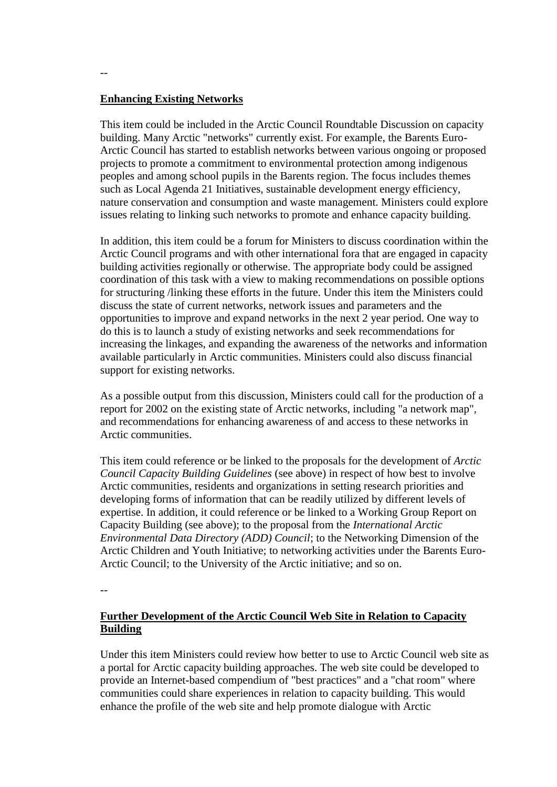#### **Enhancing Existing Networks**

This item could be included in the Arctic Council Roundtable Discussion on capacity building. Many Arctic "networks" currently exist. For example, the Barents Euro-Arctic Council has started to establish networks between various ongoing or proposed projects to promote a commitment to environmental protection among indigenous peoples and among school pupils in the Barents region. The focus includes themes such as Local Agenda 21 Initiatives, sustainable development energy efficiency, nature conservation and consumption and waste management. Ministers could explore issues relating to linking such networks to promote and enhance capacity building.

In addition, this item could be a forum for Ministers to discuss coordination within the Arctic Council programs and with other international fora that are engaged in capacity building activities regionally or otherwise. The appropriate body could be assigned coordination of this task with a view to making recommendations on possible options for structuring /linking these efforts in the future. Under this item the Ministers could discuss the state of current networks, network issues and parameters and the opportunities to improve and expand networks in the next 2 year period. One way to do this is to launch a study of existing networks and seek recommendations for increasing the linkages, and expanding the awareness of the networks and information available particularly in Arctic communities. Ministers could also discuss financial support for existing networks.

As a possible output from this discussion, Ministers could call for the production of a report for 2002 on the existing state of Arctic networks, including "a network map", and recommendations for enhancing awareness of and access to these networks in Arctic communities.

This item could reference or be linked to the proposals for the development of *Arctic Council Capacity Building Guidelines* (see above) in respect of how best to involve Arctic communities, residents and organizations in setting research priorities and developing forms of information that can be readily utilized by different levels of expertise. In addition, it could reference or be linked to a Working Group Report on Capacity Building (see above); to the proposal from the *International Arctic Environmental Data Directory (ADD) Council*; to the Networking Dimension of the Arctic Children and Youth Initiative; to networking activities under the Barents Euro-Arctic Council; to the University of the Arctic initiative; and so on.

--

### **Further Development of the Arctic Council Web Site in Relation to Capacity Building**

Under this item Ministers could review how better to use to Arctic Council web site as a portal for Arctic capacity building approaches. The web site could be developed to provide an Internet-based compendium of "best practices" and a "chat room" where communities could share experiences in relation to capacity building. This would enhance the profile of the web site and help promote dialogue with Arctic

--